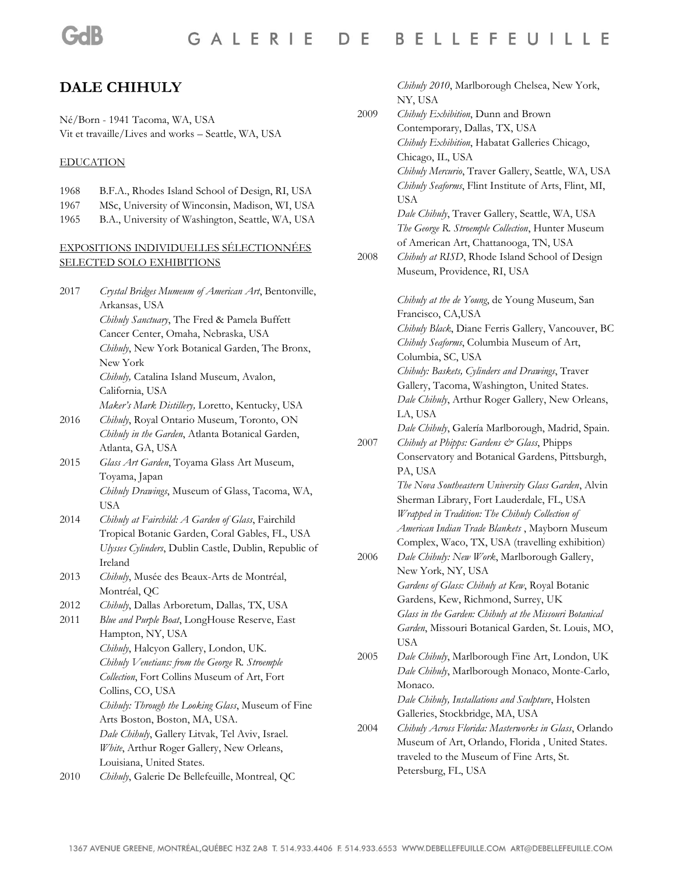#### GALERIE D E **BELLEFEUILLE**

# **DALE CHIHULY**

Né/Born - 1941 Tacoma, WA, USA Vit et travaille/Lives and works – Seattle, WA, USA

#### EDUCATION

- 1968 B.F.A., Rhodes Island School of Design, RI, USA
- 1967 MSc, University of Winconsin, Madison, WI, USA
- 1965 B.A., University of Washington, Seattle, WA, USA

#### EXPOSITIONS INDIVIDUELLES SÉLECTIONNÉES SELECTED SOLO EXHIBITIONS

| 2017 | Crystal Bridges Mumeum of American Art, Bentonville,  |
|------|-------------------------------------------------------|
|      | Arkansas, USA                                         |
|      | Chihuly Sanctuary, The Fred & Pamela Buffett          |
|      | Cancer Center, Omaha, Nebraska, USA                   |
|      | Chihuly, New York Botanical Garden, The Bronx,        |
|      | New York                                              |
|      | Chihuly, Catalina Island Museum, Avalon,              |
|      | California, USA                                       |
|      | Maker's Mark Distillery, Loretto, Kentucky, USA       |
| 2016 | Chihuly, Royal Ontario Museum, Toronto, ON            |
|      | Chihuly in the Garden, Atlanta Botanical Garden,      |
|      | Atlanta, GA, USA                                      |
| 2015 | Glass Art Garden, Toyama Glass Art Museum,            |
|      | Toyama, Japan                                         |
|      | Chihuly Drawings, Museum of Glass, Tacoma, WA,        |
|      | USA                                                   |
| 2014 | Chihuly at Fairchild: A Garden of Glass, Fairchild    |
|      | Tropical Botanic Garden, Coral Gables, FL, USA        |
|      | Ulysses Cylinders, Dublin Castle, Dublin, Republic of |
|      | Ireland                                               |
| 2013 | Chihuly, Musée des Beaux-Arts de Montréal,            |
|      | Montréal, QC                                          |
| 2012 | Chihuly, Dallas Arboretum, Dallas, TX, USA            |
| 2011 | Blue and Purple Boat, LongHouse Reserve, East         |
|      | Hampton, NY, USA                                      |
|      | Chihuly, Halcyon Gallery, London, UK.                 |
|      | Chihuly Venetians: from the George R. Stroemple       |
|      | Collection, Fort Collins Museum of Art, Fort          |
|      | Collins, CO, USA                                      |
|      | Chihuly: Through the Looking Glass, Museum of Fine    |
|      | Arts Boston, Boston, MA, USA.                         |
|      | Dale Chihuly, Gallery Litvak, Tel Aviv, Israel.       |
|      | White, Arthur Roger Gallery, New Orleans,             |
|      | Louisiana, United States.                             |
| 2010 | Chihuly, Galerie De Bellefeuille, Montreal, QC        |

*Chihuly 2010*, Marlborough Chelsea, New York, NY, USA

2009 *Chihuly Exhibition*, Dunn and Brown Contemporary, Dallas, TX, USA *Chihuly Exhibition*, Habatat Galleries Chicago, Chicago, IL, USA *Chihuly Mercurio*, Traver Gallery, Seattle, WA, USA *Chihuly Seaforms*, Flint Institute of Arts, Flint, MI, USA *Dale Chihuly*, Traver Gallery, Seattle, WA, USA *The George R. Stroemple Collection*, Hunter Museum of American Art, Chattanooga, TN, USA 2008 *Chihuly at RISD*, Rhode Island School of Design Museum, Providence, RI, USA *Chihuly at the de Young*, de Young Museum, San Francisco, CA,USA *Chihuly Black*, Diane Ferris Gallery, Vancouver, BC *Chihuly Seaforms*, Columbia Museum of Art, Columbia, SC, USA *Chihuly: Baskets, Cylinders and Drawings*, Traver Gallery, Tacoma, Washington, United States. *Dale Chihuly*, Arthur Roger Gallery, New Orleans, LA, USA *Dale Chihuly*, Galería Marlborough, Madrid, Spain. 2007 *Chihuly at Phipps: Gardens & Glass*, Phipps Conservatory and Botanical Gardens, Pittsburgh, PA, USA *The Nova Southeastern University Glass Garden*, Alvin Sherman Library, Fort Lauderdale, FL, USA *Wrapped in Tradition: The Chihuly Collection of American Indian Trade Blankets* , Mayborn Museum Complex, Waco, TX, USA (travelling exhibition) 2006 *Dale Chihuly: New Work*, Marlborough Gallery, New York, NY, USA *Gardens of Glass: Chihuly at Kew*, Royal Botanic Gardens, Kew, Richmond, Surrey, UK *Glass in the Garden: Chihuly at the Missouri Botanical Garden*, Missouri Botanical Garden, St. Louis, MO, USA 2005 *Dale Chihuly*, Marlborough Fine Art, London, UK *Dale Chihuly*, Marlborough Monaco, Monte-Carlo, Monaco. *Dale Chihuly, Installations and Sculpture*, Holsten Galleries, Stockbridge, MA, USA 2004 *Chihuly Across Florida: Masterworks in Glass*, Orlando Museum of Art, Orlando, Florida , United States. traveled to the Museum of Fine Arts, St. Petersburg, FL, USA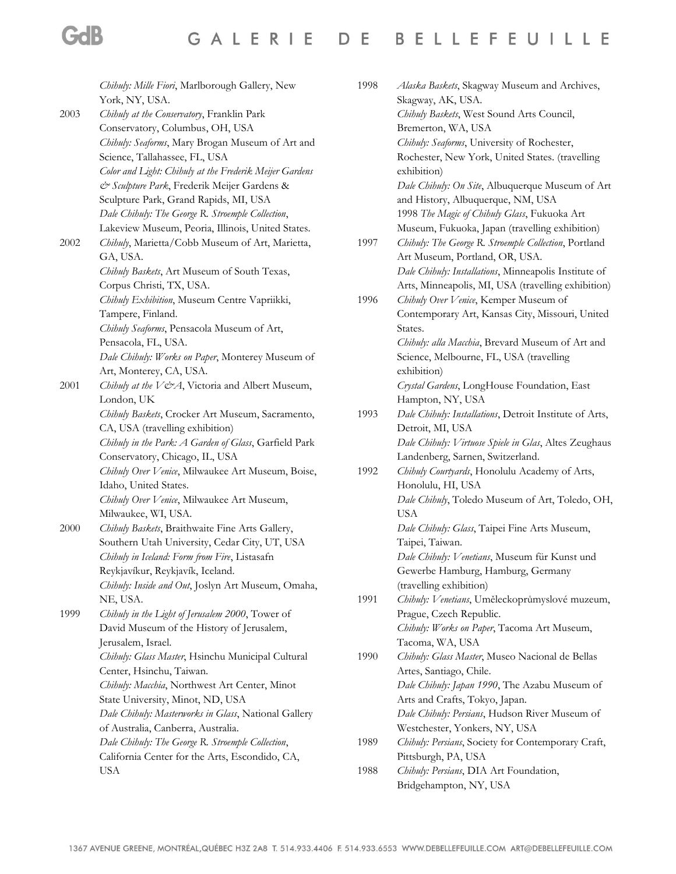| Chihuly: Mille Fiori, Marlborough Gallery, New          |
|---------------------------------------------------------|
| York, NY, USA.                                          |
| Chihuly at the Conservatory, Franklin Park              |
| Conservatory, Columbus, OH, USA                         |
| Chihuly: Seaforms, Mary Brogan Museum of Art and        |
| Science, Tallahassee, FL, USA                           |
| Color and Light: Chihuly at the Frederik Meijer Gardens |
| & Sculpture Park, Frederik Meijer Gardens &             |
| Sculpture Park, Grand Rapids, MI, USA                   |
| Dale Chihuly: The George R. Stroemple Collection,       |
| Lakeview Museum, Peoria, Illinois, United States.       |
| Chihuly, Marietta/Cobb Museum of Art, Marietta,         |
| GA, USA.                                                |
| Chihuly Baskets, Art Museum of South Texas,             |
| Corpus Christi, TX, USA.                                |
| Chihuly Exhibition, Museum Centre Vapriikki,            |
| Tampere, Finland.                                       |
| Chihuly Seaforms, Pensacola Museum of Art,              |
| Pensacola, FL, USA.                                     |
| Dale Chihuly: Works on Paper, Monterey Museum of        |
| Art, Monterey, CA, USA.                                 |
| Chihuly at the V&A, Victoria and Albert Museum,         |
| London, UK                                              |
| Chihuly Baskets, Crocker Art Museum, Sacramento,        |
| CA, USA (travelling exhibition)                         |
| Chihuly in the Park: A Garden of Glass, Garfield Park   |
| Conservatory, Chicago, IL, USA                          |
| Chihuly Over Venice, Milwaukee Art Museum, Boise,       |
| Idaho, United States.                                   |
| Chihuly Over Venice, Milwaukee Art Museum,              |
| Milwaukee, WI, USA.                                     |
| Chihuly Baskets, Braithwaite Fine Arts Gallery,         |
| Southern Utah University, Cedar City, UT, USA           |
| Chihuly in Iceland: Form from Fire, Listasafn           |
| Reykjavíkur, Reykjavík, Iceland.                        |
| Chihuly: Inside and Out, Joslyn Art Museum, Omaha,      |
| NE, USA.                                                |
| Chihuly in the Light of Jerusalem 2000, Tower of        |
| David Museum of the History of Jerusalem,               |
| Jerusalem, Israel.                                      |
| Chihuly: Glass Master, Hsinchu Municipal Cultural       |
| Center, Hsinchu, Taiwan.                                |
| Chihuly: Macchia, Northwest Art Center, Minot           |
| State University, Minot, ND, USA                        |
| Dale Chihuly: Masterworks in Glass, National Gallery    |
| of Australia, Canberra, Australia.                      |
| Dale Chihuly: The George R. Stroemple Collection,       |
| California Center for the Arts, Escondido, CA,          |
| USA                                                     |
|                                                         |

**GdB** 

| 1998. | Alaska Baskets, Skagway Museum and Archives,                                      |
|-------|-----------------------------------------------------------------------------------|
|       | Skagway, AK, USA.                                                                 |
|       | Chihuly Baskets, West Sound Arts Council,                                         |
|       | Bremerton, WA, USA                                                                |
|       | Chihuly: Seaforms, University of Rochester,                                       |
|       | Rochester, New York, United States. (travelling                                   |
|       | exhibition)                                                                       |
|       | Dale Chihuly: On Site, Albuquerque Museum of Art                                  |
|       | and History, Albuquerque, NM, USA                                                 |
|       | 1998 The Magic of Chihuly Glass, Fukuoka Art                                      |
|       | Museum, Fukuoka, Japan (travelling exhibition)                                    |
| 1997  | Chihuly: The George R. Stroemple Collection, Portland                             |
|       | Art Museum, Portland, OR, USA.                                                    |
|       | Dale Chihuly: Installations, Minneapolis Institute of                             |
|       | Arts, Minneapolis, MI, USA (travelling exhibition)                                |
| 1996  | Chihuly Over Venice, Kemper Museum of                                             |
|       | Contemporary Art, Kansas City, Missouri, United                                   |
|       | States.                                                                           |
|       | Chihuly: alla Macchia, Brevard Museum of Art and                                  |
|       | Science, Melbourne, FL, USA (travelling                                           |
|       | exhibition)                                                                       |
|       |                                                                                   |
|       | Crystal Gardens, LongHouse Foundation, East                                       |
|       | Hampton, NY, USA                                                                  |
| 1993  | Dale Chihuly: Installations, Detroit Institute of Arts,                           |
|       | Detroit, MI, USA<br>Dale Chihuly: Virtuose Spiele in Glas, Altes Zeughaus         |
|       |                                                                                   |
| 1992  | Landenberg, Sarnen, Switzerland.<br>Chihuly Courtyards, Honolulu Academy of Arts, |
|       | Honolulu, HI, USA                                                                 |
|       | Dale Chihuly, Toledo Museum of Art, Toledo, OH,                                   |
|       | <b>USA</b>                                                                        |
|       | Dale Chihuly: Glass, Taipei Fine Arts Museum,                                     |
|       |                                                                                   |
|       | Taipei, Taiwan.                                                                   |
|       | Dale Chihuly: Venetians, Museum für Kunst und                                     |
|       | Gewerbe Hamburg, Hamburg, Germany                                                 |
|       | (travelling exhibition)                                                           |
| 1991  | Chihuly: Venetians, Uměleckoprůmyslové muzeum,                                    |
|       | Prague, Czech Republic.                                                           |
|       | Chihuly: Works on Paper, Tacoma Art Museum,                                       |
|       | Tacoma, WA, USA                                                                   |
| 1990  | Chihuly: Glass Master, Museo Nacional de Bellas                                   |
|       | Artes, Santiago, Chile.                                                           |
|       | Dale Chihuly: Japan 1990, The Azabu Museum of                                     |
|       | Arts and Crafts, Tokyo, Japan.                                                    |
|       | Dale Chihuly: Persians, Hudson River Museum of                                    |
|       | Westchester, Yonkers, NY, USA                                                     |
| 1989  | Chihuly: Persians, Society for Contemporary Craft,                                |
|       | Pittsburgh, PA, USA                                                               |
| 1988  | Chihuly: Persians, DIA Art Foundation,                                            |
|       | Bridgehampton, NY, USA                                                            |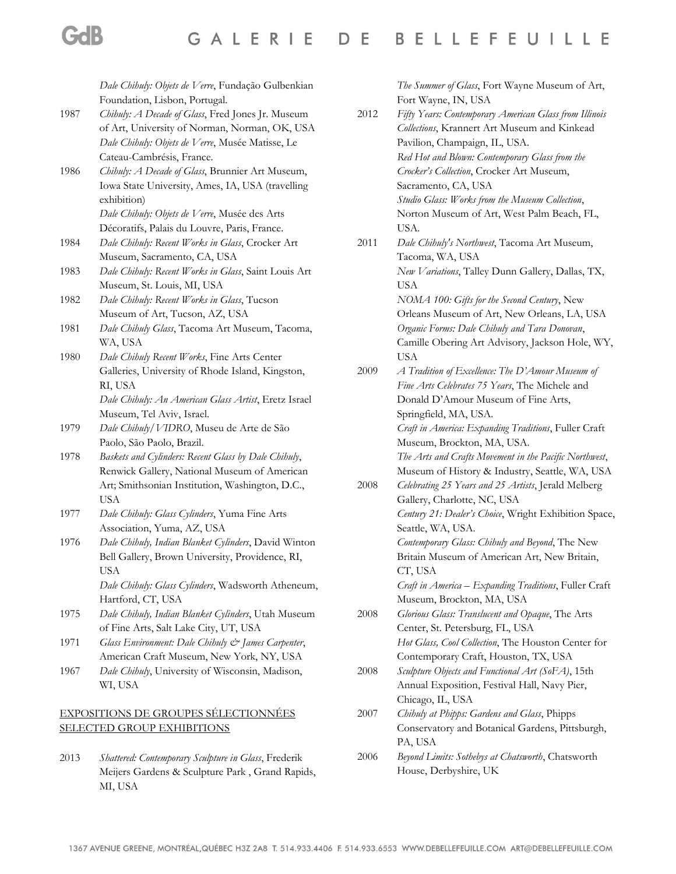*Dale Chihuly: Objets de Verre*, Fundação Gulbenkian Foundation, Lisbon, Portugal.

- 1987 *Chihuly: A Decade of Glass*, Fred Jones Jr. Museum of Art, University of Norman, Norman, OK, USA *Dale Chihuly: Objets de Verre*, Musée Matisse, Le Cateau-Cambrésis, France.
- 1986 *Chihuly: A Decade of Glass*, Brunnier Art Museum, Iowa State University, Ames, IA, USA (travelling exhibition)

*Dale Chihuly: Objets de Verre*, Musée des Arts Décoratifs, Palais du Louvre, Paris, France.

- 1984 *Dale Chihuly: Recent Works in Glass*, Crocker Art Museum, Sacramento, CA, USA
- 1983 *Dale Chihuly: Recent Works in Glass*, Saint Louis Art Museum, St. Louis, MI, USA
- 1982 *Dale Chihuly: Recent Works in Glass*, Tucson Museum of Art, Tucson, AZ, USA
- 1981 *Dale Chihuly Glass*, Tacoma Art Museum, Tacoma, WA, USA
- 1980 *Dale Chihuly Recent Works*, Fine Arts Center Galleries, University of Rhode Island, Kingston, RI, USA *Dale Chihuly: An American Glass Artist*, Eretz Israel

Museum, Tel Aviv, Israel.

- 1979 *Dale Chihuly/VIDRO*, Museu de Arte de São Paolo, São Paolo, Brazil.
- 1978 *Baskets and Cylinders: Recent Glass by Dale Chihuly*, Renwick Gallery, National Museum of American Art; Smithsonian Institution, Washington, D.C., USA
- 1977 *Dale Chihuly: Glass Cylinders*, Yuma Fine Arts Association, Yuma, AZ, USA
- 1976 *Dale Chihuly, Indian Blanket Cylinders*, David Winton Bell Gallery, Brown University, Providence, RI, USA

*Dale Chihuly: Glass Cylinders*, Wadsworth Atheneum, Hartford, CT, USA

- 1975 *Dale Chihuly, Indian Blanket Cylinders*, Utah Museum of Fine Arts, Salt Lake City, UT, USA
- 1971 *Glass Environment: Dale Chihuly & James Carpenter*, American Craft Museum, New York, NY, USA
- 1967 *Dale Chihuly*, University of Wisconsin, Madison, WI, USA

## EXPOSITIONS DE GROUPES SÉLECTIONNÉES SELECTED GROUP EXHIBITIONS

2013 *Shattered: Contemporary Sculpture in Glass*, Frederik Meijers Gardens & Sculpture Park , Grand Rapids, MI, USA

*The Summer of Glass*, Fort Wayne Museum of Art, Fort Wayne, IN, USA

2012 *Fifty Years: Contemporary American Glass from Illinois Collections*, Krannert Art Museum and Kinkead Pavilion, Champaign, IL, USA. *Red Hot and Blown: Contemporary Glass from the Crocker's Collection*, Crocker Art Museum, Sacramento, CA, USA *Studio Glass: Works from the Museum Collection*, Norton Museum of Art, West Palm Beach, FL, USA. 2011 *Dale Chihuly's Northwest*, Tacoma Art Museum, Tacoma, WA, USA *New Variations*, Talley Dunn Gallery, Dallas, TX, USA *NOMA 100: Gifts for the Second Century*, New Orleans Museum of Art, New Orleans, LA, USA *Organic Forms: Dale Chihuly and Tara Donovan*, Camille Obering Art Advisory, Jackson Hole, WY, USA 2009 *A Tradition of Excellence: The D'Amour Museum of Fine Arts Celebrates 75 Years*, The Michele and Donald D'Amour Museum of Fine Arts, Springfield, MA, USA. *Craft in America: Expanding Traditions*, Fuller Craft Museum, Brockton, MA, USA. *The Arts and Crafts Movement in the Pacific Northwest*, Museum of History & Industry, Seattle, WA, USA 2008 *Celebrating 25 Years and 25 Artists*, Jerald Melberg Gallery, Charlotte, NC, USA *Century 21: Dealer's Choice*, Wright Exhibition Space, Seattle, WA, USA. *Contemporary Glass: Chihuly and Beyond*, The New Britain Museum of American Art, New Britain, CT, USA *Craft in America – Expanding Traditions*, Fuller Craft Museum, Brockton, MA, USA 2008 *Glorious Glass: Translucent and Opaque*, The Arts Center, St. Petersburg, FL, USA *Hot Glass, Cool Collection*, The Houston Center for Contemporary Craft, Houston, TX, USA 2008 *Sculpture Objects and Functional Art (SoFA)*, 15th Annual Exposition, Festival Hall, Navy Pier, Chicago, IL, USA 2007 *Chihuly at Phipps: Gardens and Glass*, Phipps Conservatory and Botanical Gardens, Pittsburgh, PA, USA 2006 *Beyond Limits: Sothebys at Chatsworth*, Chatsworth House, Derbyshire, UK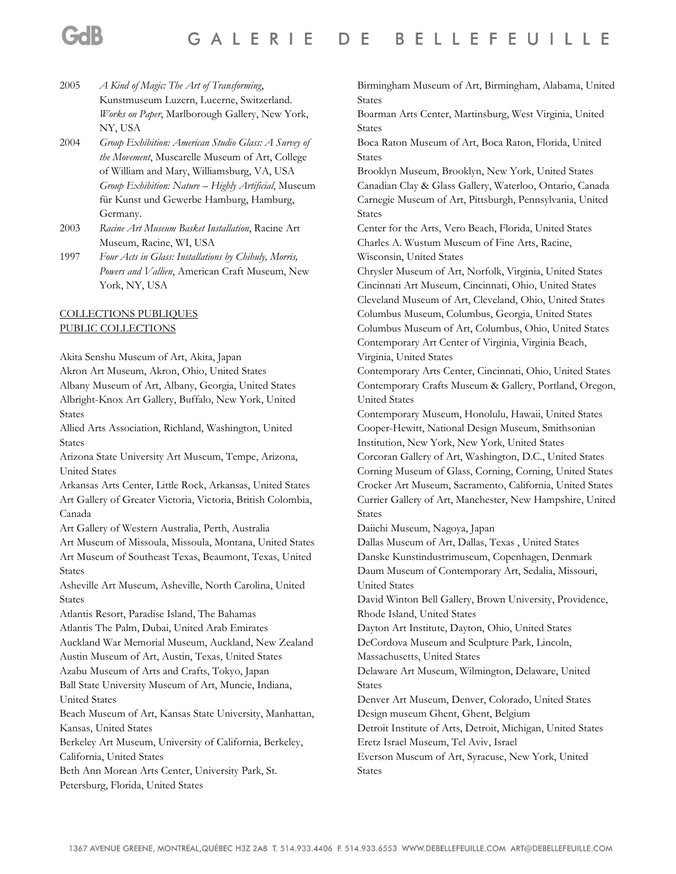2005 *A Kind of Magic: The Art of Transforming*, Kunstmuseum Luzern, Lucerne, Switzerland. *Works on Paper*, Marlborough Gallery, New York, NY, USA

- 2004 *Group Exhibition: American Studio Glass: A Survey of the Movement*, Muscarelle Museum of Art, College of William and Mary, Williamsburg, VA, USA *Group Exhibition: Nature – Highly Artificial*, Museum für Kunst und Gewerbe Hamburg, Hamburg, Germany.
- 2003 *Racine Art Museum Basket Installation*, Racine Art Museum, Racine, WI, USA
- 1997 *Four Acts in Glass: Installations by Chihuly, Morris, Powers and Vallien*, American Craft Museum, New York, NY, USA

# COLLECTIONS PUBLIQUES PUBLIC COLLECTIONS

Akita Senshu Museum of Art, Akita, Japan

Akron Art Museum, Akron, Ohio, United States Albany Museum of Art, Albany, Georgia, United States Albright-Knox Art Gallery, Buffalo, New York, United States

Allied Arts Association, Richland, Washington, United States

Arizona State University Art Museum, Tempe, Arizona, United States

Arkansas Arts Center, Little Rock, Arkansas, United States Art Gallery of Greater Victoria, Victoria, British Colombia, Canada

Art Gallery of Western Australia, Perth, Australia

Art Museum of Missoula, Missoula, Montana, United States Art Museum of Southeast Texas, Beaumont, Texas, United States

Asheville Art Museum, Asheville, North Carolina, United States

Atlantis Resort, Paradise Island, The Bahamas Atlantis The Palm, Dubai, United Arab Emirates Auckland War Memorial Museum, Auckland, New Zealand Austin Museum of Art, Austin, Texas, United States Azabu Museum of Arts and Crafts, Tokyo, Japan

Ball State University Museum of Art, Muncie, Indiana, United States

Beach Museum of Art, Kansas State University, Manhattan, Kansas, United States

Berkeley Art Museum, University of California, Berkeley, California, United States

Beth Ann Morean Arts Center, University Park, St. Petersburg, Florida, United States

Birmingham Museum of Art, Birmingham, Alabama, United States

Boarman Arts Center, Martinsburg, West Virginia, United States

Boca Raton Museum of Art, Boca Raton, Florida, United States

Brooklyn Museum, Brooklyn, New York, United States Canadian Clay & Glass Gallery, Waterloo, Ontario, Canada Carnegie Museum of Art, Pittsburgh, Pennsylvania, United States

Center for the Arts, Vero Beach, Florida, United States Charles A. Wustum Museum of Fine Arts, Racine, Wisconsin, United States

Chrysler Museum of Art, Norfolk, Virginia, United States Cincinnati Art Museum, Cincinnati, Ohio, United States Cleveland Museum of Art, Cleveland, Ohio, United States Columbus Museum, Columbus, Georgia, United States Columbus Museum of Art, Columbus, Ohio, United States Contemporary Art Center of Virginia, Virginia Beach, Virginia, United States

Contemporary Arts Center, Cincinnati, Ohio, United States Contemporary Crafts Museum & Gallery, Portland, Oregon, United States

Contemporary Museum, Honolulu, Hawaii, United States Cooper-Hewitt, National Design Museum, Smithsonian Institution, New York, New York, United States Corcoran Gallery of Art, Washington, D.C., United States Corning Museum of Glass, Corning, Corning, United States Crocker Art Museum, Sacramento, California, United States Currier Gallery of Art, Manchester, New Hampshire, United

Daiichi Museum, Nagoya, Japan

States

Dallas Museum of Art, Dallas, Texas , United States

Danske Kunstindustrimuseum, Copenhagen, Denmark

Daum Museum of Contemporary Art, Sedalia, Missouri, United States

David Winton Bell Gallery, Brown University, Providence, Rhode Island, United States

Dayton Art Institute, Dayton, Ohio, United States DeCordova Museum and Sculpture Park, Lincoln,

Massachusetts, United States

Delaware Art Museum, Wilmington, Delaware, United States

Denver Art Museum, Denver, Colorado, United States Design museum Ghent, Ghent, Belgium

Detroit Institute of Arts, Detroit, Michigan, United States Eretz Israel Museum, Tel Aviv, Israel

Everson Museum of Art, Syracuse, New York, United States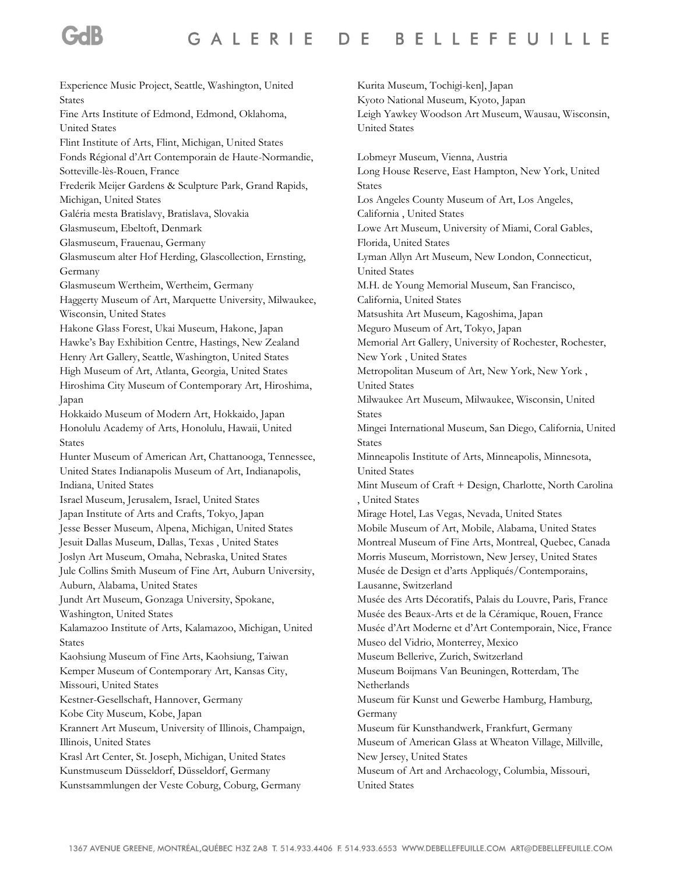#### **BELLEFEUILLE** GALERIE DE

Experience Music Project, Seattle, Washington, United States Fine Arts Institute of Edmond, Edmond, Oklahoma, United States Flint Institute of Arts, Flint, Michigan, United States Fonds Régional d'Art Contemporain de Haute-Normandie, Sotteville-lès-Rouen, France Frederik Meijer Gardens & Sculpture Park, Grand Rapids, Michigan, United States Galéria mesta Bratislavy, Bratislava, Slovakia Glasmuseum, Ebeltoft, Denmark Glasmuseum, Frauenau, Germany Glasmuseum alter Hof Herding, Glascollection, Ernsting, Germany Glasmuseum Wertheim, Wertheim, Germany Haggerty Museum of Art, Marquette University, Milwaukee, Wisconsin, United States Hakone Glass Forest, Ukai Museum, Hakone, Japan Hawke's Bay Exhibition Centre, Hastings, New Zealand Henry Art Gallery, Seattle, Washington, United States High Museum of Art, Atlanta, Georgia, United States Hiroshima City Museum of Contemporary Art, Hiroshima, Japan Hokkaido Museum of Modern Art, Hokkaido, Japan Honolulu Academy of Arts, Honolulu, Hawaii, United States Hunter Museum of American Art, Chattanooga, Tennessee, United States Indianapolis Museum of Art, Indianapolis, Indiana, United States Israel Museum, Jerusalem, Israel, United States Japan Institute of Arts and Crafts, Tokyo, Japan Jesse Besser Museum, Alpena, Michigan, United States Jesuit Dallas Museum, Dallas, Texas , United States Joslyn Art Museum, Omaha, Nebraska, United States Jule Collins Smith Museum of Fine Art, Auburn University, Auburn, Alabama, United States Jundt Art Museum, Gonzaga University, Spokane, Washington, United States Kalamazoo Institute of Arts, Kalamazoo, Michigan, United States Kaohsiung Museum of Fine Arts, Kaohsiung, Taiwan Kemper Museum of Contemporary Art, Kansas City, Missouri, United States Kestner-Gesellschaft, Hannover, Germany Kobe City Museum, Kobe, Japan Krannert Art Museum, University of Illinois, Champaign, Illinois, United States Krasl Art Center, St. Joseph, Michigan, United States Kunstmuseum Düsseldorf, Düsseldorf, Germany Kunstsammlungen der Veste Coburg, Coburg, Germany

Kurita Museum, Tochigi-ken], Japan Kyoto National Museum, Kyoto, Japan Leigh Yawkey Woodson Art Museum, Wausau, Wisconsin, United States

Lobmeyr Museum, Vienna, Austria Long House Reserve, East Hampton, New York, United States Los Angeles County Museum of Art, Los Angeles, California , United States Lowe Art Museum, University of Miami, Coral Gables, Florida, United States Lyman Allyn Art Museum, New London, Connecticut, United States M.H. de Young Memorial Museum, San Francisco, California, United States Matsushita Art Museum, Kagoshima, Japan Meguro Museum of Art, Tokyo, Japan Memorial Art Gallery, University of Rochester, Rochester, New York , United States Metropolitan Museum of Art, New York, New York , United States Milwaukee Art Museum, Milwaukee, Wisconsin, United States Mingei International Museum, San Diego, California, United States Minneapolis Institute of Arts, Minneapolis, Minnesota, United States Mint Museum of Craft + Design, Charlotte, North Carolina , United States Mirage Hotel, Las Vegas, Nevada, United States Mobile Museum of Art, Mobile, Alabama, United States Montreal Museum of Fine Arts, Montreal, Quebec, Canada Morris Museum, Morristown, New Jersey, United States Musée de Design et d'arts Appliqués/Contemporains, Lausanne, Switzerland Musée des Arts Décoratifs, Palais du Louvre, Paris, France Musée des Beaux-Arts et de la Céramique, Rouen, France Musée d'Art Moderne et d'Art Contemporain, Nice, France Museo del Vidrio, Monterrey, Mexico Museum Bellerive, Zurich, Switzerland Museum Boijmans Van Beuningen, Rotterdam, The Netherlands Museum für Kunst und Gewerbe Hamburg, Hamburg, Germany Museum für Kunsthandwerk, Frankfurt, Germany Museum of American Glass at Wheaton Village, Millville, New Jersey, United States Museum of Art and Archaeology, Columbia, Missouri, United States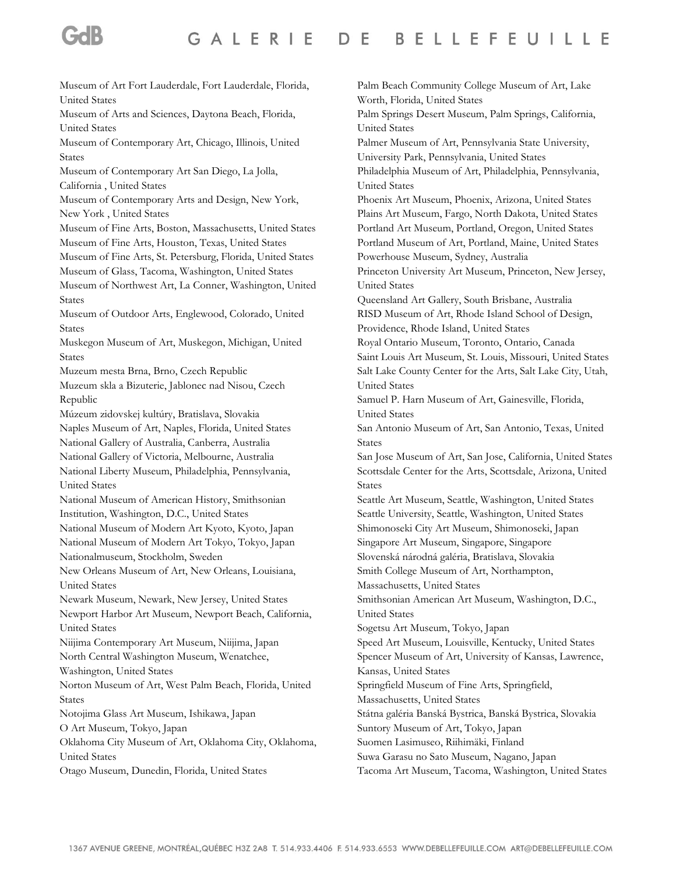Museum of Art Fort Lauderdale, Fort Lauderdale, Florida, United States Museum of Arts and Sciences, Daytona Beach, Florida, United States Museum of Contemporary Art, Chicago, Illinois, United States Museum of Contemporary Art San Diego, La Jolla, California , United States Museum of Contemporary Arts and Design, New York, New York , United States Museum of Fine Arts, Boston, Massachusetts, United States Museum of Fine Arts, Houston, Texas, United States Museum of Fine Arts, St. Petersburg, Florida, United States Museum of Glass, Tacoma, Washington, United States Museum of Northwest Art, La Conner, Washington, United States Museum of Outdoor Arts, Englewood, Colorado, United States Muskegon Museum of Art, Muskegon, Michigan, United States Muzeum mesta Brna, Brno, Czech Republic Muzeum skla a Bizuterie, Jablonec nad Nisou, Czech Republic Múzeum zidovskej kultúry, Bratislava, Slovakia Naples Museum of Art, Naples, Florida, United States National Gallery of Australia, Canberra, Australia National Gallery of Victoria, Melbourne, Australia National Liberty Museum, Philadelphia, Pennsylvania, United States National Museum of American History, Smithsonian Institution, Washington, D.C., United States National Museum of Modern Art Kyoto, Kyoto, Japan National Museum of Modern Art Tokyo, Tokyo, Japan Nationalmuseum, Stockholm, Sweden New Orleans Museum of Art, New Orleans, Louisiana, United States Newark Museum, Newark, New Jersey, United States Newport Harbor Art Museum, Newport Beach, California, United States Niijima Contemporary Art Museum, Niijima, Japan North Central Washington Museum, Wenatchee, Washington, United States Norton Museum of Art, West Palm Beach, Florida, United States Notojima Glass Art Museum, Ishikawa, Japan O Art Museum, Tokyo, Japan Oklahoma City Museum of Art, Oklahoma City, Oklahoma, United States Otago Museum, Dunedin, Florida, United States Palm Beach Community College Museum of Art, Lake Worth, Florida, United States Palm Springs Desert Museum, Palm Springs, California, United States Palmer Museum of Art, Pennsylvania State University, University Park, Pennsylvania, United States Philadelphia Museum of Art, Philadelphia, Pennsylvania, United States Phoenix Art Museum, Phoenix, Arizona, United States Plains Art Museum, Fargo, North Dakota, United States Portland Art Museum, Portland, Oregon, United States Portland Museum of Art, Portland, Maine, United States Powerhouse Museum, Sydney, Australia Princeton University Art Museum, Princeton, New Jersey, United States Queensland Art Gallery, South Brisbane, Australia RISD Museum of Art, Rhode Island School of Design, Providence, Rhode Island, United States Royal Ontario Museum, Toronto, Ontario, Canada Saint Louis Art Museum, St. Louis, Missouri, United States Salt Lake County Center for the Arts, Salt Lake City, Utah, United States Samuel P. Harn Museum of Art, Gainesville, Florida, United States San Antonio Museum of Art, San Antonio, Texas, United States San Jose Museum of Art, San Jose, California, United States Scottsdale Center for the Arts, Scottsdale, Arizona, United States Seattle Art Museum, Seattle, Washington, United States Seattle University, Seattle, Washington, United States Shimonoseki City Art Museum, Shimonoseki, Japan Singapore Art Museum, Singapore, Singapore Slovenská národná galéria, Bratislava, Slovakia Smith College Museum of Art, Northampton, Massachusetts, United States Smithsonian American Art Museum, Washington, D.C., United States Sogetsu Art Museum, Tokyo, Japan Speed Art Museum, Louisville, Kentucky, United States Spencer Museum of Art, University of Kansas, Lawrence, Kansas, United States Springfield Museum of Fine Arts, Springfield, Massachusetts, United States Státna galéria Banská Bystrica, Banská Bystrica, Slovakia Suntory Museum of Art, Tokyo, Japan Suomen Lasimuseo, Riihimäki, Finland Suwa Garasu no Sato Museum, Nagano, Japan Tacoma Art Museum, Tacoma, Washington, United States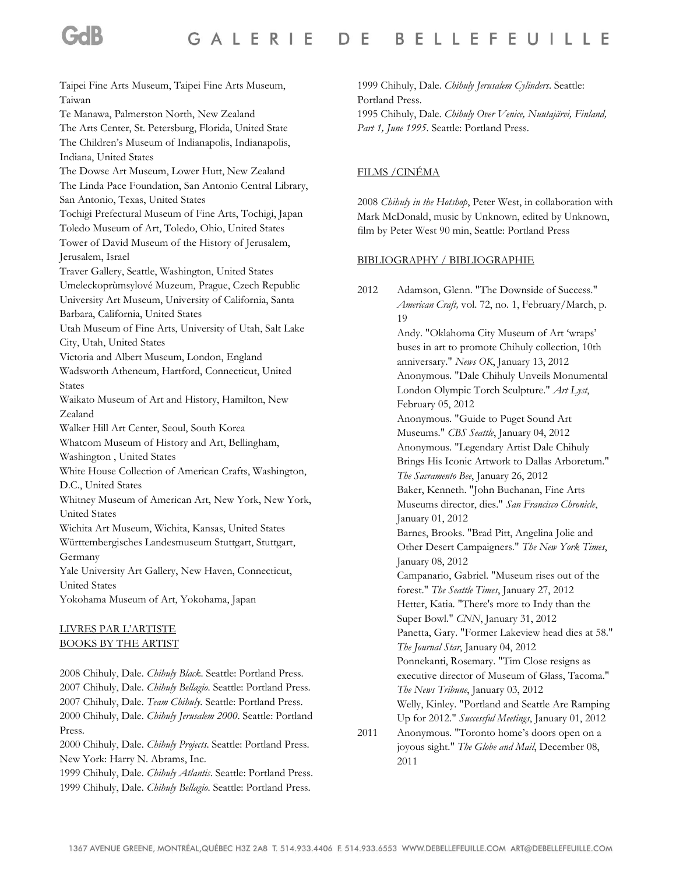Taipei Fine Arts Museum, Taipei Fine Arts Museum, Taiwan Te Manawa, Palmerston North, New Zealand The Arts Center, St. Petersburg, Florida, United State The Children's Museum of Indianapolis, Indianapolis, Indiana, United States The Dowse Art Museum, Lower Hutt, New Zealand The Linda Pace Foundation, San Antonio Central Library, San Antonio, Texas, United States Tochigi Prefectural Museum of Fine Arts, Tochigi, Japan Toledo Museum of Art, Toledo, Ohio, United States Tower of David Museum of the History of Jerusalem, Jerusalem, Israel Traver Gallery, Seattle, Washington, United States Umeleckoprùmsylové Muzeum, Prague, Czech Republic University Art Museum, University of California, Santa Barbara, California, United States Utah Museum of Fine Arts, University of Utah, Salt Lake City, Utah, United States Victoria and Albert Museum, London, England Wadsworth Atheneum, Hartford, Connecticut, United States Waikato Museum of Art and History, Hamilton, New Zealand Walker Hill Art Center, Seoul, South Korea Whatcom Museum of History and Art, Bellingham, Washington , United States White House Collection of American Crafts, Washington, D.C., United States Whitney Museum of American Art, New York, New York, United States Wichita Art Museum, Wichita, Kansas, United States Württembergisches Landesmuseum Stuttgart, Stuttgart, Germany Yale University Art Gallery, New Haven, Connecticut, United States Yokohama Museum of Art, Yokohama, Japan LIVRES PAR L'ARTISTE BOOKS BY THE ARTIST

2008 Chihuly, Dale. *Chihuly Black*. Seattle: Portland Press. 2007 Chihuly, Dale. *Chihuly Bellagio*. Seattle: Portland Press. 2007 Chihuly, Dale. *Team Chihuly*. Seattle: Portland Press. 2000 Chihuly, Dale. *Chihuly Jerusalem 2000*. Seattle: Portland Press.

2000 Chihuly, Dale. *Chihuly Projects*. Seattle: Portland Press. New York: Harry N. Abrams, Inc.

1999 Chihuly, Dale. *Chihuly Atlantis*. Seattle: Portland Press. 1999 Chihuly, Dale. *Chihuly Bellagio*. Seattle: Portland Press.

1999 Chihuly, Dale. *Chihuly Jerusalem Cylinders*. Seattle: Portland Press. 1995 Chihuly, Dale. *Chihuly Over Venice, Nuutajärvi, Finland, Part 1, June 1995*. Seattle: Portland Press.

## FILMS /CINÉMA

2008 *Chihuly in the Hotshop*, Peter West, in collaboration with Mark McDonald, music by Unknown, edited by Unknown, film by Peter West 90 min, Seattle: Portland Press

#### BIBLIOGRAPHY / BIBLIOGRAPHIE

<sup>2012</sup> Adamson, Glenn. "The Downside of Success." *American Craft,* vol. 72, no. 1, February/March, p. 19 Andy. "Oklahoma City Museum of Art 'wraps' buses in art to promote Chihuly collection, 10th anniversary." *News OK*, January 13, 2012 Anonymous. "Dale Chihuly Unveils Monumental London Olympic Torch Sculpture." *Art Lyst*, February 05, 2012 Anonymous. "Guide to Puget Sound Art Museums." *CBS Seattle*, January 04, 2012 Anonymous. "Legendary Artist Dale Chihuly Brings His Iconic Artwork to Dallas Arboretum." *The Sacramento Bee*, January 26, 2012 Baker, Kenneth. "John Buchanan, Fine Arts Museums director, dies." *San Francisco Chronicle*, January 01, 2012 Barnes, Brooks. "Brad Pitt, Angelina Jolie and Other Desert Campaigners." *The New York Times*, January 08, 2012 Campanario, Gabriel. "Museum rises out of the forest." *The Seattle Times*, January 27, 2012 Hetter, Katia. "There's more to Indy than the Super Bowl." *CNN*, January 31, 2012 Panetta, Gary. "Former Lakeview head dies at 58." *The Journal Star*, January 04, 2012 Ponnekanti, Rosemary. "Tim Close resigns as executive director of Museum of Glass, Tacoma." *The News Tribune*, January 03, 2012 Welly, Kinley. "Portland and Seattle Are Ramping Up for 2012." *Successful Meetings*, January 01, 2012

<sup>2011</sup> Anonymous. "Toronto home's doors open on a joyous sight." *The Globe and Mail*, December 08, 2011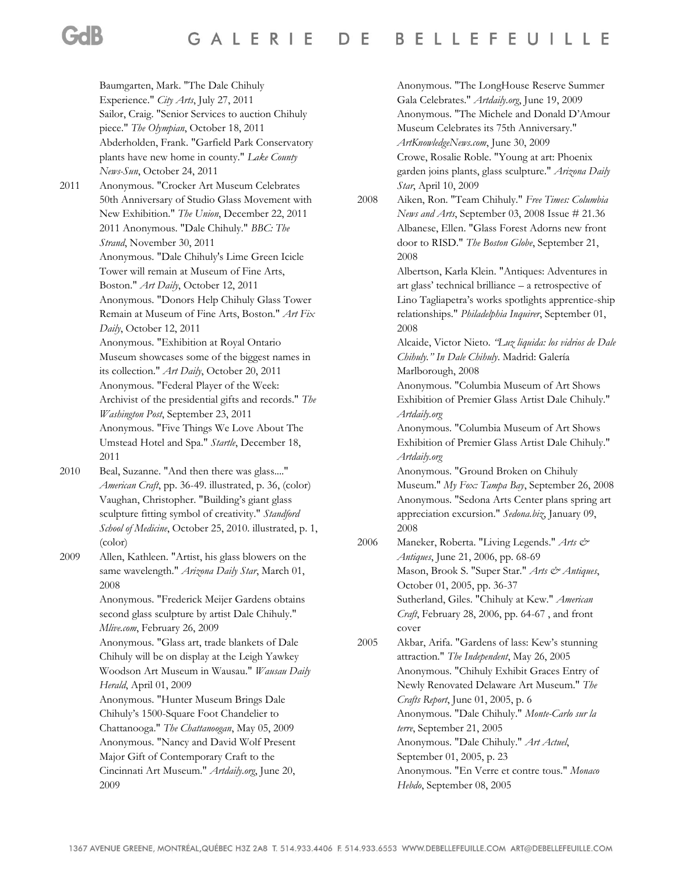Baumgarten, Mark. "The Dale Chihuly Experience." *City Arts*, July 27, 2011 Sailor, Craig. "Senior Services to auction Chihuly piece." *The Olympian*, October 18, 2011 Abderholden, Frank. "Garfield Park Conservatory plants have new home in county." *Lake County News-Sun*, October 24, 2011

- 2011 Anonymous. "Crocker Art Museum Celebrates 50th Anniversary of Studio Glass Movement with New Exhibition." *The Union*, December 22, 2011 2011 Anonymous. "Dale Chihuly." *BBC: The Strand*, November 30, 2011 Anonymous. "Dale Chihuly's Lime Green Icicle Tower will remain at Museum of Fine Arts, Boston." *Art Daily*, October 12, 2011 Anonymous. "Donors Help Chihuly Glass Tower Remain at Museum of Fine Arts, Boston." *Art Fix Daily*, October 12, 2011 Anonymous. "Exhibition at Royal Ontario Museum showcases some of the biggest names in its collection." *Art Daily*, October 20, 2011 Anonymous. "Federal Player of the Week: Archivist of the presidential gifts and records." *The Washington Post*, September 23, 2011 Anonymous. "Five Things We Love About The Umstead Hotel and Spa." *Startle*, December 18, 2011
- 2010 Beal, Suzanne. "And then there was glass...." *American Craft*, pp. 36-49. illustrated, p. 36, (color) Vaughan, Christopher. "Building's giant glass sculpture fitting symbol of creativity." *Standford School of Medicine*, October 25, 2010. illustrated, p. 1, (color)
- 2009 Allen, Kathleen. "Artist, his glass blowers on the same wavelength." *Arizona Daily Star*, March 01, 2008

Anonymous. "Frederick Meijer Gardens obtains second glass sculpture by artist Dale Chihuly." *Mlive.com*, February 26, 2009

Anonymous. "Glass art, trade blankets of Dale Chihuly will be on display at the Leigh Yawkey Woodson Art Museum in Wausau." *Wausau Daily Herald*, April 01, 2009

Anonymous. "Hunter Museum Brings Dale Chihuly's 1500-Square Foot Chandelier to Chattanooga." *The Chattanoogan*, May 05, 2009 Anonymous. "Nancy and David Wolf Present Major Gift of Contemporary Craft to the Cincinnati Art Museum." *Artdaily.org*, June 20,

2009

Anonymous. "The LongHouse Reserve Summer Gala Celebrates." *Artdaily.org*, June 19, 2009 Anonymous. "The Michele and Donald D'Amour Museum Celebrates its 75th Anniversary." *ArtKnowledgeNews.com*, June 30, 2009

Crowe, Rosalie Roble. "Young at art: Phoenix garden joins plants, glass sculpture." *Arizona Daily Star*, April 10, 2009

2008 Aiken, Ron. "Team Chihuly." *Free Times: Columbia News and Arts*, September 03, 2008 Issue # 21.36 Albanese, Ellen. "Glass Forest Adorns new front door to RISD." *The Boston Globe*, September 21, 2008

> Albertson, Karla Klein. "Antiques: Adventures in art glass' technical brilliance – a retrospective of Lino Tagliapetra's works spotlights apprentice-ship relationships." *Philadelphia Inquirer*, September 01, 2008

> Alcaide, Victor Nieto. *"Luz liquida: los vidrios de Dale Chihuly." In Dale Chihuly*. Madrid: Galería Marlborough, 2008

Anonymous. "Columbia Museum of Art Shows Exhibition of Premier Glass Artist Dale Chihuly." *Artdaily.org*

Anonymous. "Columbia Museum of Art Shows Exhibition of Premier Glass Artist Dale Chihuly." *Artdaily.org*

Anonymous. "Ground Broken on Chihuly Museum." *My Fox: Tampa Bay*, September 26, 2008 Anonymous. "Sedona Arts Center plans spring art appreciation excursion." *Sedona.biz*, January 09, 2008

2006 Maneker, Roberta. "Living Legends." Arts & *Antiques*, June 21, 2006, pp. 68-69 Mason, Brook S. "Super Star." *Arts & Antiques*, October 01, 2005, pp. 36-37 Sutherland, Giles. "Chihuly at Kew." *American Craft*, February 28, 2006, pp. 64-67 , and front cover

2005 Akbar, Arifa. "Gardens of lass: Kew's stunning attraction." *The Independent*, May 26, 2005 Anonymous. "Chihuly Exhibit Graces Entry of Newly Renovated Delaware Art Museum." *The Crafts Report*, June 01, 2005, p. 6 Anonymous. "Dale Chihuly." *Monte-Carlo sur la terre*, September 21, 2005 Anonymous. "Dale Chihuly." *Art Actuel*, September 01, 2005, p. 23 Anonymous. "En Verre et contre tous." *Monaco Hebdo*, September 08, 2005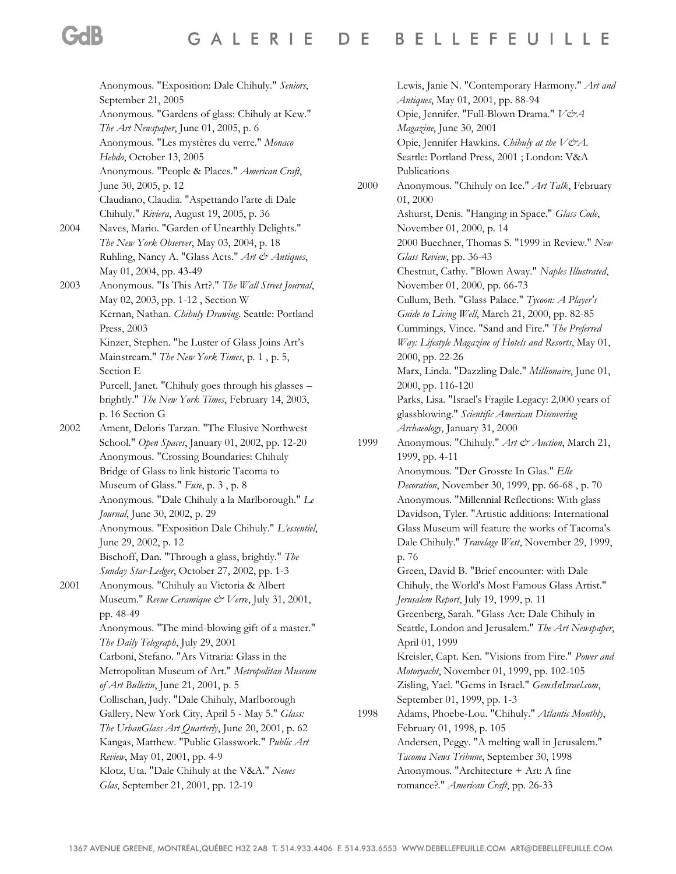|      | Anonymous. "Exposition: Dale Chihuly." Seniors,                                          |
|------|------------------------------------------------------------------------------------------|
|      | September 21, 2005                                                                       |
|      | Anonymous. "Gardens of glass: Chihuly at Kew."<br>The Art Newspaper, June 01, 2005, p. 6 |
|      | Anonymous. "Les mystères du verre." Monaco                                               |
|      |                                                                                          |
|      | Hebdo, October 13, 2005                                                                  |
|      | Anonymous. "People & Places." American Craft,                                            |
|      | June 30, 2005, p. 12                                                                     |
|      | Claudiano, Claudia. "Aspettando l'arte di Dale                                           |
|      | Chihuly." Riviera, August 19, 2005, p. 36                                                |
| 2004 | Naves, Mario. "Garden of Unearthly Delights."                                            |
|      | The New York Observer, May 03, 2004, p. 18                                               |
|      | Ruhling, Nancy A. "Glass Acts." Art & Antiques,                                          |
|      | May 01, 2004, pp. 43-49                                                                  |
| 2003 | Anonymous. "Is This Art?." The Wall Street Journal,                                      |
|      | May 02, 2003, pp. 1-12, Section W                                                        |
|      | Kernan, Nathan. Chihuly Drawing. Seattle: Portland                                       |
|      | Press, 2003                                                                              |
|      | Kinzer, Stephen. "he Luster of Glass Joins Art's                                         |
|      | Mainstream." The New York Times, p. 1, p. 5,                                             |
|      | Section E                                                                                |
|      | Purcell, Janet. "Chihuly goes through his glasses -                                      |
|      | brightly." The New York Times, February 14, 2003,                                        |
|      | p. 16 Section G                                                                          |
| 2002 |                                                                                          |
|      | Ament, Deloris Tarzan. "The Elusive Northwest                                            |
|      | School." Open Spaces, January 01, 2002, pp. 12-20                                        |
|      | Anonymous. "Crossing Boundaries: Chihuly                                                 |
|      | Bridge of Glass to link historic Tacoma to                                               |
|      | Museum of Glass." Fuse, p. 3, p. 8                                                       |
|      | Anonymous. "Dale Chihuly a la Marlborough." Le                                           |
|      | Journal, June 30, 2002, p. 29                                                            |
|      | Anonymous. "Exposition Dale Chihuly." L'essentiel,                                       |
|      | June 29, 2002, p. 12                                                                     |
|      | Bischoff, Dan. "Through a glass, brightly." The                                          |
|      | Sunday Star-Ledger, October 27, 2002, pp. 1-3                                            |
| 2001 | Anonymous. "Chihuly au Victoria & Albert                                                 |
|      | Museum." Revue Ceramique & Verre, July 31, 2001,                                         |
|      | pp. 48-49                                                                                |
|      | Anonymous. "The mind-blowing gift of a master."                                          |
|      | The Daily Telegraph, July 29, 2001                                                       |
|      | Carboni, Stefano. "Ars Vitraria: Glass in the                                            |
|      | Metropolitan Museum of Art." Metropolitan Museum                                         |
|      | of Art Bulletin, June 21, 2001, p. 5                                                     |
|      | Collischan, Judy. "Dale Chihuly, Marlborough                                             |
|      | Gallery, New York City, April 5 - May 5." Glass:                                         |
|      | The UrbanGlass Art Quarterly, June 20, 2001, p. 62                                       |
|      | Kangas, Matthew. "Public Glasswork." Public Art                                          |
|      | Review, May 01, 2001, pp. 4-9                                                            |
|      | Klotz, Uta. "Dale Chihuly at the V&A." Neues                                             |
|      |                                                                                          |
|      | Glas, September 21, 2001, pp. 12-19                                                      |

Lewis, Janie N. "Contemporary Harmony." *Art and Antiques*, May 01, 2001, pp. 88-94 Opie, Jennifer. "Full-Blown Drama." V&A *Magazine*, June 30, 2001 Opie, Jennifer Hawkins. *Chihuly at the V&A*. Seattle: Portland Press, 2001 ; London: V&A Publications 2000 Anonymous. "Chihuly on Ice." *Art Talk*, February 01, 2000 Ashurst, Denis. "Hanging in Space." *Glass Code*, November 01, 2000, p. 14 2000 Buechner, Thomas S. "1999 in Review." *New Glass Review*, pp. 36-43 Chestnut, Cathy. "Blown Away." *Naples Illustrated*, November 01, 2000, pp. 66-73 Cullum, Beth. "Glass Palace." *Tycoon: A Player's Guide to Living Well*, March 21, 2000, pp. 82-85 Cummings, Vince. "Sand and Fire." *The Preferred Way: Lifestyle Magazine of Hotels and Resorts*, May 01, 2000, pp. 22-26 Marx, Linda. "Dazzling Dale." *Millionaire*, June 01, 2000, pp. 116-120 Parks, Lisa. "Israel's Fragile Legacy: 2,000 years of glassblowing." *Scientific American Discovering Archaeology*, January 31, 2000 1999 Anonymous. "Chihuly." *Art & Auction*, March 21, 1999, pp. 4-11 Anonymous. "Der Grosste In Glas." *Elle Decoration*, November 30, 1999, pp. 66-68 , p. 70 Anonymous. "Millennial Reflections: With glass Davidson, Tyler. "Artistic additions: International Glass Museum will feature the works of Tacoma's Dale Chihuly." *Travelage West*, November 29, 1999, p. 76 Green, David B. "Brief encounter: with Dale Chihuly, the World's Most Famous Glass Artist." *Jerusalem Report*, July 19, 1999, p. 11 Greenberg, Sarah. "Glass Act: Dale Chihuly in Seattle, London and Jerusalem." *The Art Newspaper*, April 01, 1999 Kreisler, Capt. Ken. "Visions from Fire." *Power and Motoryacht*, November 01, 1999, pp. 102-105 Zisling, Yael. "Gems in Israel." *GemsInIsrael.com*, September 01, 1999, pp. 1-3 1998 Adams, Phoebe-Lou. "Chihuly." *Atlantic Monthly*, February 01, 1998, p. 105 Andersen, Peggy. "A melting wall in Jerusalem." *Tacoma News Tribune*, September 30, 1998 Anonymous. "Architecture + Art: A fine romance?." *American Craft*, pp. 26-33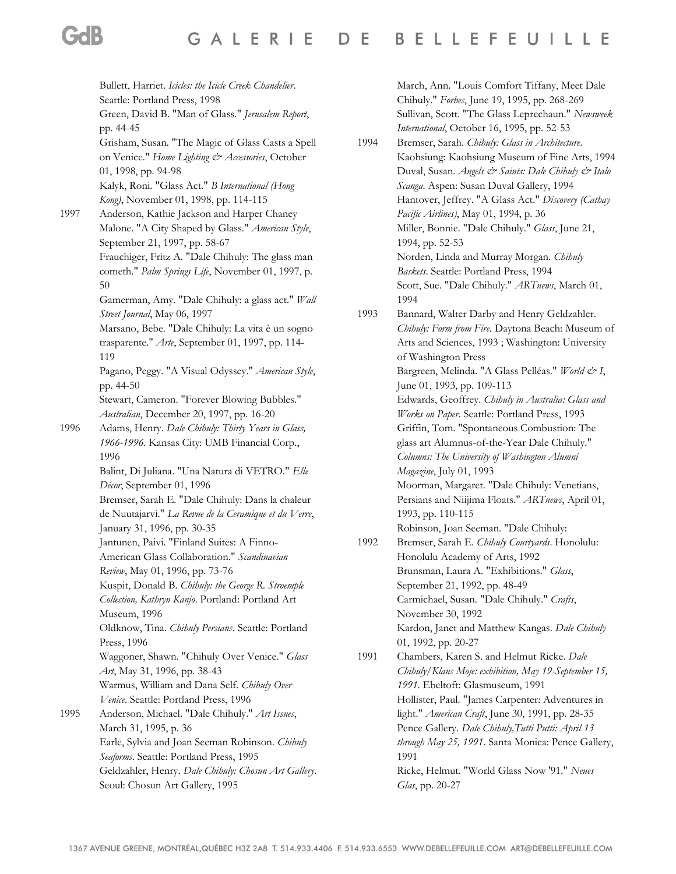Bullett, Harriet. *Icicles: the Icicle Creek Chandelier*. Seattle: Portland Press, 1998 Green, David B. "Man of Glass." *Jerusalem Report*, pp. 44-45 Grisham, Susan. "The Magic of Glass Casts a Spell on Venice." *Home Lighting & Accessories*, October 01, 1998, pp. 94-98 Kalyk, Roni. "Glass Act." *B International (Hong Kong)*, November 01, 1998, pp. 114-115 1997 Anderson, Kathie Jackson and Harper Chaney Malone. "A City Shaped by Glass." *American Style*, September 21, 1997, pp. 58-67 Frauchiger, Fritz A. "Dale Chihuly: The glass man cometh." *Palm Springs Life*, November 01, 1997, p. 50 Gamerman, Amy. "Dale Chihuly: a glass act." *Wall Street Journal*, May 06, 1997 Marsano, Bebe. "Dale Chihuly: La vita è un sogno trasparente." *Arte*, September 01, 1997, pp. 114- 119 Pagano, Peggy. "A Visual Odyssey." *American Style*, pp. 44-50 Stewart, Cameron. "Forever Blowing Bubbles." *Australian*, December 20, 1997, pp. 16-20 1996 Adams, Henry. *Dale Chihuly: Thirty Years in Glass, 1966-1996*. Kansas City: UMB Financial Corp., 1996 Balint, Di Juliana. "Una Natura di VETRO." *Elle Décor*, September 01, 1996 Bremser, Sarah E. "Dale Chihuly: Dans la chaleur de Nuutajarvi." *La Revue de la Ceramique et du Verre*, January 31, 1996, pp. 30-35 Jantunen, Paivi. "Finland Suites: A Finno-American Glass Collaboration." *Scandinavian Review*, May 01, 1996, pp. 73-76 Kuspit, Donald B. *Chihuly: the George R. Stroemple Collection, Kathryn Kanjo*. Portland: Portland Art Museum, 1996 Oldknow, Tina. *Chihuly Persians*. Seattle: Portland Press, 1996 Waggoner, Shawn. "Chihuly Over Venice." *Glass Art*, May 31, 1996, pp. 38-43 Warmus, William and Dana Self. *Chihuly Over Venice*. Seattle: Portland Press, 1996 1995 Anderson, Michael. "Dale Chihuly." *Art Issues*, March 31, 1995, p. 36 Earle, Sylvia and Joan Seeman Robinson. *Chihuly Seaforms*. Seattle: Portland Press, 1995 Geldzahler, Henry. *Dale Chihuly: Chosun Art Gallery*. Seoul: Chosun Art Gallery, 1995

March, Ann. "Louis Comfort Tiffany, Meet Dale Chihuly." *Forbes*, June 19, 1995, pp. 268-269 Sullivan, Scott. "The Glass Leprechaun." *Newsweek International*, October 16, 1995, pp. 52-53

1994 Bremser, Sarah. *Chihuly: Glass in Architecture*. Kaohsiung: Kaohsiung Museum of Fine Arts, 1994 Duval, Susan. *Angels & Saints: Dale Chihuly & Italo Scanga*. Aspen: Susan Duval Gallery, 1994 Hantover, Jeffrey. "A Glass Act." *Discovery (Cathay Pacific Airlines)*, May 01, 1994, p. 36 Miller, Bonnie. "Dale Chihuly." *Glass*, June 21, 1994, pp. 52-53 Norden, Linda and Murray Morgan. *Chihuly Baskets*. Seattle: Portland Press, 1994 Scott, Sue. "Dale Chihuly." *ARTnews*, March 01, 1994

1993 Bannard, Walter Darby and Henry Geldzahler. *Chihuly: Form from Fire*. Daytona Beach: Museum of Arts and Sciences, 1993 ; Washington: University of Washington Press Bargreen, Melinda. "A Glass Pelléas." *World & I*, June 01, 1993, pp. 109-113 Edwards, Geoffrey. *Chihuly in Australia: Glass and Works on Paper*. Seattle: Portland Press, 1993 Griffin, Tom. "Spontaneous Combustion: The glass art Alumnus-of-the-Year Dale Chihuly." *Columns: The University of Washington Alumni Magazine*, July 01, 1993 Moorman, Margaret. "Dale Chihuly: Venetians, Persians and Niijima Floats." *ARTnews*, April 01, 1993, pp. 110-115 Robinson, Joan Seeman. "Dale Chihuly:

1992 Bremser, Sarah E. *Chihuly Courtyards*. Honolulu: Honolulu Academy of Arts, 1992 Brunsman, Laura A. "Exhibitions." *Glass*, September 21, 1992, pp. 48-49 Carmichael, Susan. "Dale Chihuly." *Crafts*, November 30, 1992 Kardon, Janet and Matthew Kangas. *Dale Chihuly*  01, 1992, pp. 20-27

1991 Chambers, Karen S. and Helmut Ricke. *Dale Chihuly/Klaus Moje: exhibition, May 19-September 15, 1991*. Ebeltoft: Glasmuseum, 1991 Hollister, Paul. "James Carpenter: Adventures in light." *American Craft*, June 30, 1991, pp. 28-35 Pence Gallery. *Dale Chihuly,Tutti Putti: April 13 through May 25, 1991*. Santa Monica: Pence Gallery, 1991 Ricke, Helmut. "World Glass Now '91." *Neues Glas*, pp. 20-27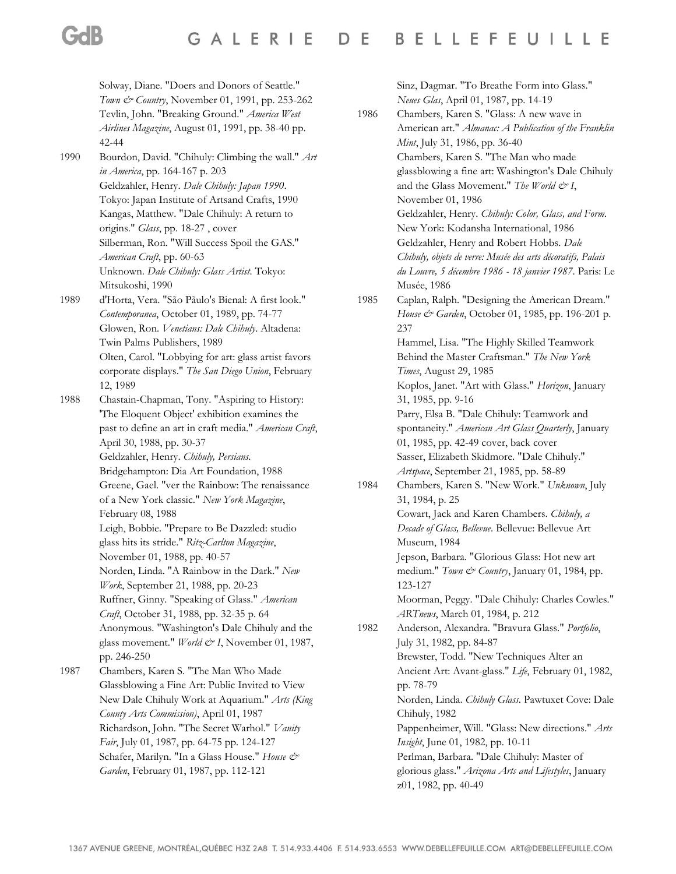Solway, Diane. "Doers and Donors of Seattle." *Town & Country*, November 01, 1991, pp. 253-262 Tevlin, John. "Breaking Ground." *America West Airlines Magazine*, August 01, 1991, pp. 38-40 pp. 42-44 1990 Bourdon, David. "Chihuly: Climbing the wall." *Art in America*, pp. 164-167 p. 203 Geldzahler, Henry. *Dale Chihuly: Japan 1990*. Tokyo: Japan Institute of Artsand Crafts, 1990 Kangas, Matthew. "Dale Chihuly: A return to origins." *Glass*, pp. 18-27 , cover Silberman, Ron. "Will Success Spoil the GAS." *American Craft*, pp. 60-63 Unknown. *Dale Chihuly: Glass Artist*. Tokyo: Mitsukoshi, 1990 1989 d'Horta, Vera. "São Pãulo's Bienal: A first look." *Contemporanea*, October 01, 1989, pp. 74-77 Glowen, Ron. *Venetians: Dale Chihuly*. Altadena: Twin Palms Publishers, 1989 Olten, Carol. "Lobbying for art: glass artist favors corporate displays." *The San Diego Union*, February 12, 1989 1988 Chastain-Chapman, Tony. "Aspiring to History: 'The Eloquent Object' exhibition examines the past to define an art in craft media." *American Craft*, April 30, 1988, pp. 30-37 Geldzahler, Henry. *Chihuly, Persians*. Bridgehampton: Dia Art Foundation, 1988 Greene, Gael. "ver the Rainbow: The renaissance of a New York classic." *New York Magazine*, February 08, 1988 Leigh, Bobbie. "Prepare to Be Dazzled: studio glass hits its stride." *Ritz-Carlton Magazine*, November 01, 1988, pp. 40-57 Norden, Linda. "A Rainbow in the Dark." *New Work*, September 21, 1988, pp. 20-23 Ruffner, Ginny. "Speaking of Glass." *American Craft*, October 31, 1988, pp. 32-35 p. 64 Anonymous. "Washington's Dale Chihuly and the glass movement." *World & I*, November 01, 1987, pp. 246-250 1987 Chambers, Karen S. "The Man Who Made Glassblowing a Fine Art: Public Invited to View New Dale Chihuly Work at Aquarium." *Arts (King County Arts Commission)*, April 01, 1987 Richardson, John. "The Secret Warhol." *Vanity Fair*, July 01, 1987, pp. 64-75 pp. 124-127

Schafer, Marilyn. "In a Glass House." *House &* 

*Garden*, February 01, 1987, pp. 112-121

Sinz, Dagmar. "To Breathe Form into Glass." *Neues Glas*, April 01, 1987, pp. 14-19

1986 Chambers, Karen S. "Glass: A new wave in American art." *Almanac: A Publication of the Franklin Mint*, July 31, 1986, pp. 36-40 Chambers, Karen S. "The Man who made glassblowing a fine art: Washington's Dale Chihuly and the Glass Movement." The World  $\mathcal{Q}$  I, November 01, 1986 Geldzahler, Henry. *Chihuly: Color, Glass, and Form*. New York: Kodansha International, 1986 Geldzahler, Henry and Robert Hobbs. *Dale Chihuly, objets de verre: Musée des arts décoratifs, Palais du Louvre, 5 décembre 1986 - 18 janvier 1987*. Paris: Le Musée, 1986 1985 Caplan, Ralph. "Designing the American Dream." *House & Garden*, October 01, 1985, pp. 196-201 p. 237 Hammel, Lisa. "The Highly Skilled Teamwork Behind the Master Craftsman." *The New York Times*, August 29, 1985 Koplos, Janet. "Art with Glass." *Horizon*, January 31, 1985, pp. 9-16 Parry, Elsa B. "Dale Chihuly: Teamwork and spontaneity." *American Art Glass Quarterly*, January 01, 1985, pp. 42-49 cover, back cover Sasser, Elizabeth Skidmore. "Dale Chihuly." *Artspace*, September 21, 1985, pp. 58-89 1984 Chambers, Karen S. "New Work." *Unknown*, July 31, 1984, p. 25 Cowart, Jack and Karen Chambers. *Chihuly, a Decade of Glass, Bellevue*. Bellevue: Bellevue Art Museum, 1984 Jepson, Barbara. "Glorious Glass: Hot new art medium." Town & Country, January 01, 1984, pp. 123-127 Moorman, Peggy. "Dale Chihuly: Charles Cowles." *ARTnews*, March 01, 1984, p. 212 1982 Anderson, Alexandra. "Bravura Glass." *Portfolio*, July 31, 1982, pp. 84-87 Brewster, Todd. "New Techniques Alter an Ancient Art: Avant-glass." *Life*, February 01, 1982, pp. 78-79 Norden, Linda. *Chihuly Glass*. Pawtuxet Cove: Dale Chihuly, 1982 Pappenheimer, Will. "Glass: New directions." *Arts Insight*, June 01, 1982, pp. 10-11 Perlman, Barbara. "Dale Chihuly: Master of glorious glass." *Arizona Arts and Lifestyles*, January z01, 1982, pp. 40-49